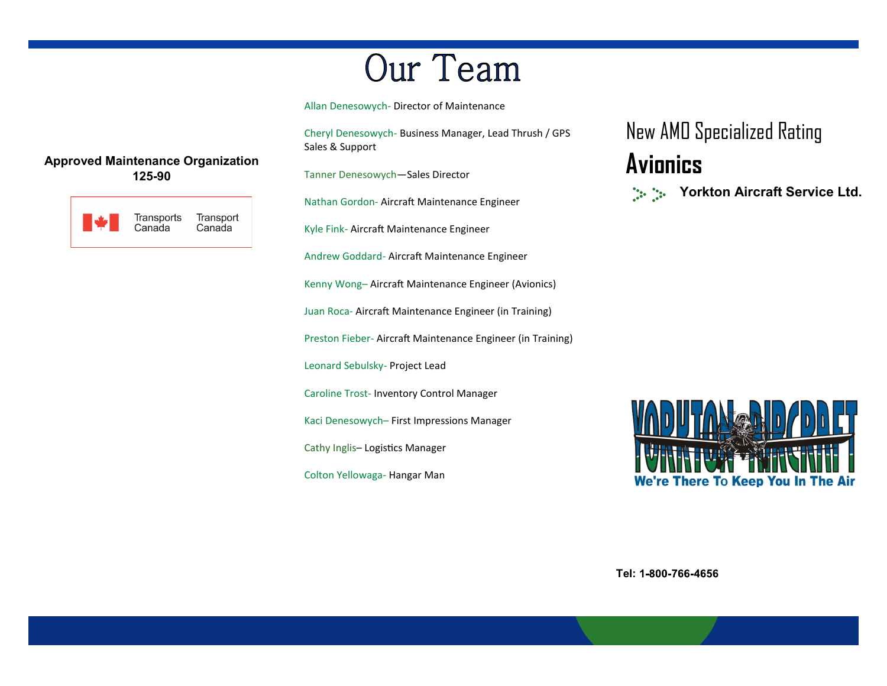# Our Team

Allan Denesowych- Director of Maintenance

Cheryl Denesowych- Business Manager, Lead Thrush / GPS Sales & Support

Tanner Denesowych—Sales Director

Nathan Gordon- Aircraft Maintenance Engineer

Kyle Fink- Aircraft Maintenance Engineer

Andrew Goddard- Aircraft Maintenance Engineer

Kenny Wong– Aircraft Maintenance Engineer (Avionics)

Juan Roca- Aircraft Maintenance Engineer (in Training)

Preston Fieber- Aircraft Maintenance Engineer (in Training)

Leonard Sebulsky- Project Lead

Caroline Trost- Inventory Control Manager

Kaci Denesowych– First Impressions Manager

Cathy Inglis– Logistics Manager

Colton Yellowaga- Hangar Man

New AMO Specialized Rating **Avionics Yorkton Aircraft Service Ltd.**  $\frac{1}{2} \sum_{i=1}^{n} \frac{1}{2} \sum_{j=1}^{n} \frac{1}{2} \sum_{j=1}^{n} \frac{1}{2} \sum_{j=1}^{n} \frac{1}{2} \sum_{j=1}^{n} \frac{1}{2} \sum_{j=1}^{n} \frac{1}{2} \sum_{j=1}^{n} \frac{1}{2} \sum_{j=1}^{n} \frac{1}{2} \sum_{j=1}^{n} \frac{1}{2} \sum_{j=1}^{n} \frac{1}{2} \sum_{j=1}^{n} \frac{1}{2} \sum_{j=1}^{n} \frac{1}{2} \sum_{j=1}^{n$ 

**There To Keep You In The Air** 

**Tel:** 

#### **Approved Maintenance Organization 125-90**

| Transport<br>Transports<br>Canada<br>Canada |
|---------------------------------------------|
|---------------------------------------------|